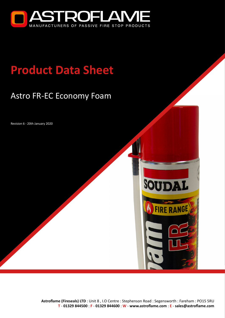

# **Product Data Sheet**

## Astro FR-EC Economy Foam

Revision 6 - 20th January 2020



SOUDAL

**FIRE RANGE**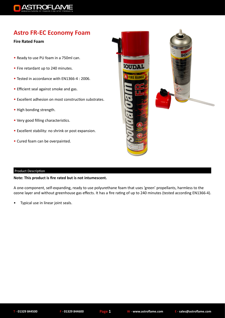

### **Astro FR-EC Economy Foam**

#### **Fire Rated Foam**

- Ready to use PU foam in a 750ml can.
- Fire retardant up to 240 minutes.
- Tested in accordance with EN1366-4 : 2006.
- Efficient seal against smoke and gas.
- Excellent adhesion on most construction substrates.
- High bonding strength.
- Very good filling characteristics.
- Excellent stability: no shrink or post expansion.
- Cured foam can be overpainted.



#### Product Description

#### **Note: This product is fire rated but is not intumescent.**

A one-component, self-expanding, ready to use polyurethane foam that uses 'green' propellants, harmless to the ozone layer and without greenhouse gas effects. It has a fire rating of up to 240 minutes (tested according EN1366-4).

• Typical use in linear joint seals.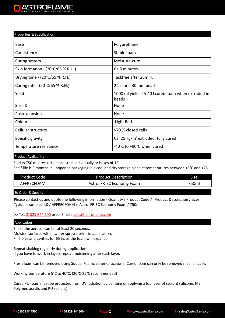#### Properties & Specification

| <b>Base</b>                                 | Polyurethane                                               |  |
|---------------------------------------------|------------------------------------------------------------|--|
| Consistency                                 | Stable foam                                                |  |
| Curing system                               | Moisture-cure                                              |  |
| Skin formation - $(20^{\circ}C/65 \% R.H.)$ | Ca 8 minutes                                               |  |
| Drying time - (20°C/65 % R.H.)              | Tackfree after 25min.                                      |  |
| Curing rate - (20°C/65 % R.H.)              | 2 hr for a 30 mm bead                                      |  |
| Yield                                       | 1000 ml yields 25-40 Lcured foam when extruded in<br>beads |  |
| <b>ShrinK</b>                               | None                                                       |  |
| Postexpansion                               | None                                                       |  |
| Colour                                      | Light Red                                                  |  |
| Cellular structure                          | >70 % closed cells                                         |  |
| Specific gravity                            | Ca. 25 kg/m <sup>3</sup> extruded, fully cured             |  |
| Temperature resistance                      | -40°C to +90°C when cured                                  |  |

Product Availability

Sold in 750 ml pressurised canisters individually or boxes of 12.

Shelf life is 9 months in unopened packaging in a cool and dry storage place at temperatures between +5°C and +25

| Product Code | <b>Product Description</b> | Size  |
|--------------|----------------------------|-------|
| AFFRECFOAM   | Astro FR-EC Economy Foam   | 750ml |

#### To Order & Specify

Please contact us and quote the following information - Quantity / Product Code / Product Description / sizes Typical example:- 10 / AFFRECFOAM / Astro FR-EC Economy Foam / 750ml

>> Tel: [01329 844 500](tel:01329844500) or >> Email: sales@astroflame.com

#### Application

Shake the aerosol can for at least 20 seconds. Moisten surfaces with a water sprayer prior to application. Fill holes and cavities for 65 %, as the foam will expand.

Repeat shaking regularly during application. If you have to work in layers repeat moistening after each layer.

Fresh foam can be removed using Soudal Foamcleaner or acetone. Cured foam can only be removed mechanically.

Working temperature 5°C to 40°C. (20°C-25°C recommended)

Cured PU-foam must be protected from UV radiation by painting or applying a top layer of sealant (silicone, MS Polymer, acrylic and PU sealant)